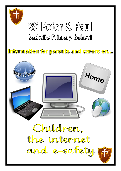

# $SS$  Percer  $\mathbb{Z}$  Paril **Catholic Primary School**

Information for parents and carers on...

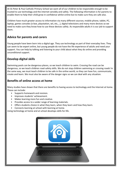At SS Peter & Paul Catholic Primary School we want all of our children to be responsible enough to be trusted to use technology and the internet sensibly and safely. The following information is for parents to enable them to help their child grow in confidence whilst online but to make sure they are safe also.

Children have much greater access to information via many different sources; mobile phone, tablet, PC, laptop, games consoles (x-box, playstation, wii, etc,…), digital televisions and many more devices so we need to make sure they know how to use these devices safely. As responsible adults it is our job to support them.

## **Advice for parents and carers**

Young people have been born into a digital age. They use technology as part of their everyday lives. They can seem to be expert online, but young people do not have the life experience of adults and need your support. You can help by talking and listening to your child about what they do online and providing unconditional support.

# **Develop digital skills**

Swimming pools can be dangerous places, so we teach children to swim. Crossing the road can be dangerous, so we teach children road-safety skills. We do not stop children swimming or crossing roads! In the same way, we must teach children to be safe in the online world, so they can have fun, communicate, create and learn. We must also be aware of the danger signs so we can deal with any situation.

## **Benefits of online access at home**

Many studies have shown that there are benefits to having access to technology and the Internet at home. These can include:

- Supports homework and revision.
- Improves students' achievement.
- Makes learning more fun and creative.
- Provides access to a wider range of learning materials.
- Offers students choice in what they learn, when they learn and how they learn.
- Connects learning at school with learning at home.

Using technology at home and at school develops skills for life.

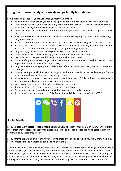# **Using the Internet safely at home develops family boundaries**

Some useful guidelines for you to use when you talk to your child:

- Be kind online. Just because you can't see a person doesn't mean that you can't hurt or offend.
- Think before you post or forward anything. Think about those selfies! Once you upload comments, pictures or videos, others will be able to see or capture them.
- Don't upload pictures or videos of others without their permission. Everyone has a right to protect their data.
- *'Play virtual BUT live real!'* Computer games are fantasy! Many people 'pretend' to be something they are not online.
- Be careful about pop-ups and adverts that say "you have won" something! This is usually a scam.
- Be careful what you click on such as odd links or attachments. If in doubt, do not open it delete it . It could be a computer virus. Also people try to get hold of your details.
- Only message, chat or e-mail people you know or trust in the 'real' world.
- Don't use your real name when using games or websites create a nickname.
- Use passwords. Treat passwords like your toothbrush don't share!
- Think carefully about where you go online. Use websites recommended by teachers. Not all content is genuine. Content can be unfair or just nasty.
- Only use a webcam with people you really know offline. A video can expose you to embarrassment or danger.
- Don't give out personal information about yourself, friends or family online that lets people find out your home address, mobile, the school you go to, etc.
- When you are old enough to use social networking sites (usually 13+), know how to set your profile and location to private and how to block and report people.
- Never arrange to meet an online friend without a trusted adult.
- Know the danger signs that someone is trying to 'groom' you.
- Tell an adult you trust immediately if anything makes you worried or unhappy.
- If you think it's serious, report it to Child Protection and Online Protection Centre **(CEOP)**.



#### **Social Media**

Many children want access to 'social media' sites and apps so that they can communicate with their friends more frequently. Most social networking sites have terms and conditions for use which state that every user must be 13 years of age or over.

Many parents allow their children to have access to these sites and apps but do you really know who they are in contact with and what is being said? Think about this…

… if your child is 10 years old and has accessed a social media site that they should be age 13 to go on they are effectively saying that they are 3 years older than they are. So when they are 15 years old it will look like they are 18 years old so anyone they are in contact with may send them explicit material inappropriate for their age which you would obviously be angry about. Did you know that the person who has sent it will not be prosecuted because they think they are communicating with an adult, not a child. Think about it…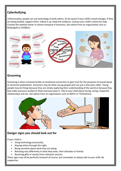## **Cyberbullying**

Unfortunately, people can use technology to bully others. So be aware if your child's mood changes. If they are being bullied, support them. Follow it up. Keep the evidence. Contact your child's school for help. Contact the website owner or phone company if necessary. Get advice from an organisation such as BullyingUK or Childline.



# **Grooming**

Grooming is when someone builds an emotional connection to gain trust for the purposes of sexual abuse or extremist exploitation. Groomers may be other young people who are just a few years older. Young people may do things because they are simply exploring their understanding of the world or because they feel under pressure, bullied or think everyone does it. Talk to your child about loving, caring, respectful relationships and sex. Get advice from an organisation such as NSPCC or Thinkuknow.



#### **Danger signs you should look out for**

If your child is:

- Using technology excessively.
- Staying online through the night.
- Being secretive about what they are doing.
- Behaving very differently in what they wear, their attitudes or friends.
- Receiving gifts or money from unknown sources.

These signs may all be perfectly innocent of course, but remember to always talk to your child. Be supportive.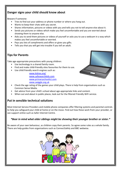# **Danger signs your child should know about**

Beware if someone:

- Tries to find out your address or phone number or where you hang out.
- Wants to keep their chats with you secret.
- Shares information, pictures or videos with you and tells you not to tell anyone else about it.
- Sends you pictures or videos which make you feel uncomfortable and you are worried about showing them to anyone else.
- Asks you to send them pictures or videos of yourself or asks you to use a webcam in a way which makes you feel uncomfortable or worried.
- Pays you lots of compliments and offers or gives you gifts.
- Tells you that you will get into trouble if you tell an adult.

#### **Tips for Parents**

Take age-appropriate precautions with young children:

- Use technology in a shared family room.
- Find and make child-friendly sites favourites for them to use.
- Use child friendly search engines such as:

[www.kidrex.org/](http://www.kidrex.org/) [www.safesearchkids.com](http://www.safesearchkids.com/) [www.primaryschoolict.com](http://www.primaryschoolict.com/) [www.swiggle.org.uk](http://www.swiggle.org.uk/)



- Check the age rating of the games your child plays. There is help from organisations such as Common Sense Media.
- Get advice from your child's school about age-appropriate links and content.
- When out and about in public places, look out for the filtered Friendly WiFi service.

#### **Put in sensible technical solutions**

Most Internet Service Providers and mobile phone companies offer filtering systems and parental controls to help you safeguard your child at home or on the move. Find out how these work from your provider, or see support online such as Safer Internet Centre.

#### *\*Bear in mind what older siblings might be showing their younger brother or sister.\**

Be aware of your own behaviour, as children copy their parents. So agree some rules as a whole family. There are help guides from organisations such as ConnectSafely and BBC webwise.

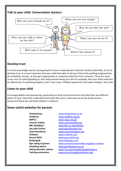

# **Develop trust**

It can be surprisingly easy for young people to access inappropriate material, mostly accidentally. So try to develop trust. It is most important that your child feels able to tell you if they find anything inappropriate, do something 'wrong', or they get inappropriate or unwanted attention from someone. There are some issues such as online gambling or sites that promote being very thin for example, that your child could also be affected by. If something happens, don't over-react. Children experiment and make mistakes. Stay calm.

# **Listen to your child**

Encourage debate and questioning, particularly on local and world events and help them see different points of view. Help them understand that what they see or read may not be the whole picture. Using all of these tips will build children's resilience.

#### **Some useful websites for parents**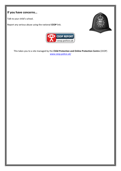# **If you have concerns…**

Talk to your child's school.

Report any serious abuse using the national **CEOP** link.





This takes you to a site managed by the **Child Protection and Online Protection Centre** (CEOP) [www.ceop.police.uk/](http://www.ceop.police.uk/)